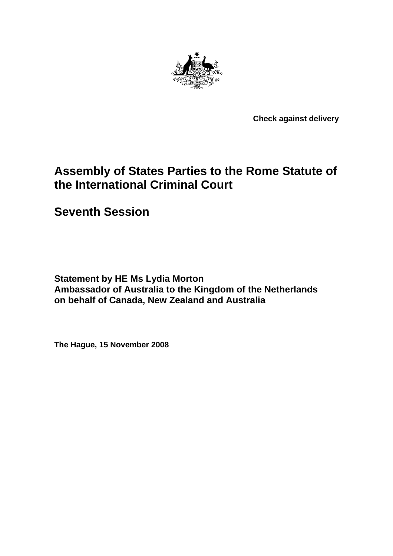

**Check against delivery** 

# **Assembly of States Parties to the Rome Statute of the International Criminal Court**

**Seventh Session** 

**Statement by HE Ms Lydia Morton Ambassador of Australia to the Kingdom of the Netherlands on behalf of Canada, New Zealand and Australia** 

**The Hague, 15 November 2008**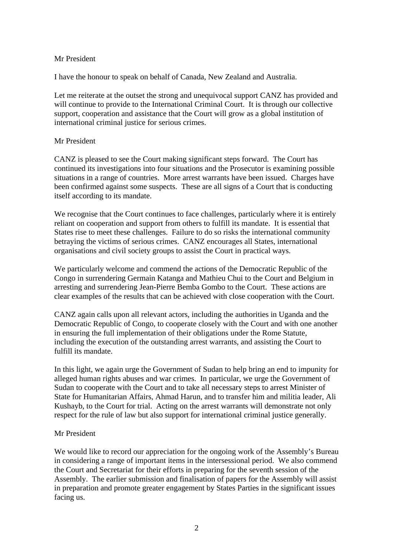## Mr President

I have the honour to speak on behalf of Canada, New Zealand and Australia.

Let me reiterate at the outset the strong and unequivocal support CANZ has provided and will continue to provide to the International Criminal Court. It is through our collective support, cooperation and assistance that the Court will grow as a global institution of international criminal justice for serious crimes.

### Mr President

CANZ is pleased to see the Court making significant steps forward. The Court has continued its investigations into four situations and the Prosecutor is examining possible situations in a range of countries. More arrest warrants have been issued. Charges have been confirmed against some suspects. These are all signs of a Court that is conducting itself according to its mandate.

We recognise that the Court continues to face challenges, particularly where it is entirely reliant on cooperation and support from others to fulfill its mandate. It is essential that States rise to meet these challenges. Failure to do so risks the international community betraying the victims of serious crimes. CANZ encourages all States, international organisations and civil society groups to assist the Court in practical ways.

We particularly welcome and commend the actions of the Democratic Republic of the Congo in surrendering Germain Katanga and Mathieu Chui to the Court and Belgium in arresting and surrendering Jean-Pierre Bemba Gombo to the Court. These actions are clear examples of the results that can be achieved with close cooperation with the Court.

CANZ again calls upon all relevant actors, including the authorities in Uganda and the Democratic Republic of Congo, to cooperate closely with the Court and with one another in ensuring the full implementation of their obligations under the Rome Statute, including the execution of the outstanding arrest warrants, and assisting the Court to fulfill its mandate.

In this light, we again urge the Government of Sudan to help bring an end to impunity for alleged human rights abuses and war crimes. In particular, we urge the Government of Sudan to cooperate with the Court and to take all necessary steps to arrest Minister of State for Humanitarian Affairs, Ahmad Harun, and to transfer him and militia leader, Ali Kushayb, to the Court for trial. Acting on the arrest warrants will demonstrate not only respect for the rule of law but also support for international criminal justice generally.

### Mr President

We would like to record our appreciation for the ongoing work of the Assembly's Bureau in considering a range of important items in the intersessional period. We also commend the Court and Secretariat for their efforts in preparing for the seventh session of the Assembly. The earlier submission and finalisation of papers for the Assembly will assist in preparation and promote greater engagement by States Parties in the significant issues facing us.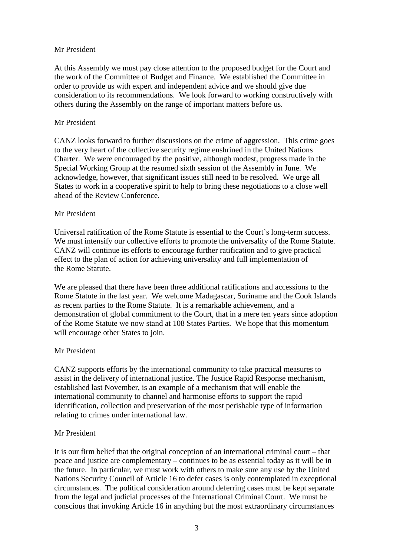## Mr President

At this Assembly we must pay close attention to the proposed budget for the Court and the work of the Committee of Budget and Finance. We established the Committee in order to provide us with expert and independent advice and we should give due consideration to its recommendations. We look forward to working constructively with others during the Assembly on the range of important matters before us.

## Mr President

CANZ looks forward to further discussions on the crime of aggression. This crime goes to the very heart of the collective security regime enshrined in the United Nations Charter. We were encouraged by the positive, although modest, progress made in the Special Working Group at the resumed sixth session of the Assembly in June. We acknowledge, however, that significant issues still need to be resolved. We urge all States to work in a cooperative spirit to help to bring these negotiations to a close well ahead of the Review Conference.

## Mr President

Universal ratification of the Rome Statute is essential to the Court's long-term success. We must intensify our collective efforts to promote the universality of the Rome Statute. CANZ will continue its efforts to encourage further ratification and to give practical effect to the plan of action for achieving universality and full implementation of the Rome Statute.

We are pleased that there have been three additional ratifications and accessions to the Rome Statute in the last year. We welcome Madagascar, Suriname and the Cook Islands as recent parties to the Rome Statute. It is a remarkable achievement, and a demonstration of global commitment to the Court, that in a mere ten years since adoption of the Rome Statute we now stand at 108 States Parties. We hope that this momentum will encourage other States to join.

### Mr President

CANZ supports efforts by the international community to take practical measures to assist in the delivery of international justice. The Justice Rapid Response mechanism, established last November, is an example of a mechanism that will enable the international community to channel and harmonise efforts to support the rapid identification, collection and preservation of the most perishable type of information relating to crimes under international law.

# Mr President

It is our firm belief that the original conception of an international criminal court – that peace and justice are complementary – continues to be as essential today as it will be in the future. In particular, we must work with others to make sure any use by the United Nations Security Council of Article 16 to defer cases is only contemplated in exceptional circumstances. The political consideration around deferring cases must be kept separate from the legal and judicial processes of the International Criminal Court. We must be conscious that invoking Article 16 in anything but the most extraordinary circumstances